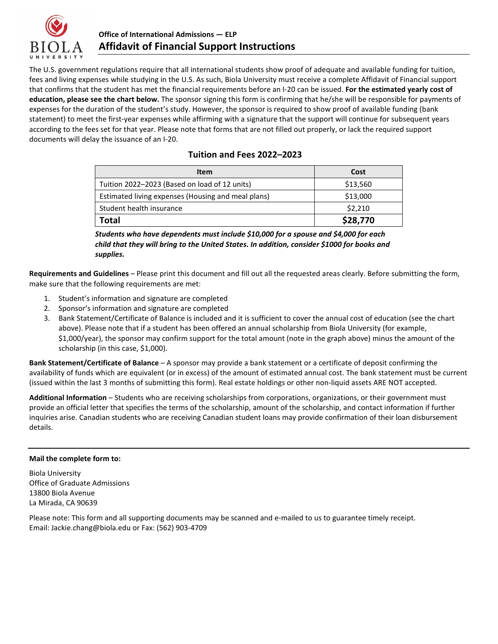

## **Office of International Admissions — ELP Affidavit of Financial Support Instructions**

The U.S. government regulations require that all international students show proof of adequate and available funding for tuition, fees and living expenses while studying in the U.S. As such, Biola University must receive a complete Affidavit of Financial support that confirms that the student has met the financial requirements before an I-20 can be issued. **For the estimated yearly cost of education, please see the chart below.** The sponsor signing this form is confirming that he/she will be responsible for payments of expenses for the duration of the student's study. However, the sponsor is required to show proof of available funding (bank statement) to meet the first-year expenses while affirming with a signature that the support will continue for subsequent years according to the fees set for that year. Please note that forms that are not filled out properly, or lack the required support documents will delay the issuance of an I-20.

|  |  | Tuition and Fees 2022-2023 |  |
|--|--|----------------------------|--|
|  |  |                            |  |

| <b>Item</b>                                        | Cost     |
|----------------------------------------------------|----------|
| Tuition 2022-2023 (Based on load of 12 units)      | \$13,560 |
| Estimated living expenses (Housing and meal plans) | \$13,000 |
| Student health insurance                           | \$2,210  |
| Total                                              | \$28,770 |

*Students who have dependents must include \$10,000 for a spouse and \$4,000 for each child that they will bring to the United States. In addition, consider \$1000 for books and supplies.*

**Requirements and Guidelines** – Please print this document and fill out all the requested areas clearly. Before submitting the form, make sure that the following requirements are met:

- 1. Student's information and signature are completed
- 2. Sponsor's information and signature are completed
- 3. Bank Statement/Certificate of Balance is included and it is sufficient to cover the annual cost of education (see the chart above). Please note that if a student has been offered an annual scholarship from Biola University (for example, \$1,000/year), the sponsor may confirm support for the total amount (note in the graph above) minus the amount of the scholarship (in this case, \$1,000).

**Bank Statement/Certificate of Balance** – A sponsor may provide a bank statement or a certificate of deposit confirming the availability of funds which are equivalent (or in excess) of the amount of estimated annual cost. The bank statement must be current (issued within the last 3 months of submitting this form). Real estate holdings or other non-liquid assets ARE NOT accepted.

**Additional Information** – Students who are receiving scholarships from corporations, organizations, or their government must provide an official letter that specifies the terms of the scholarship, amount of the scholarship, and contact information if further inquiries arise. Canadian students who are receiving Canadian student loans may provide confirmation of their loan disbursement details.

## **Mail the complete form to:**

Biola University Office of Graduate Admissions 13800 Biola Avenue La Mirada, CA 90639

Please note: This form and all supporting documents may be scanned and e-mailed to us to guarantee timely receipt. Email: Jackie.chang@biola.edu or Fax: (562) 903-4709